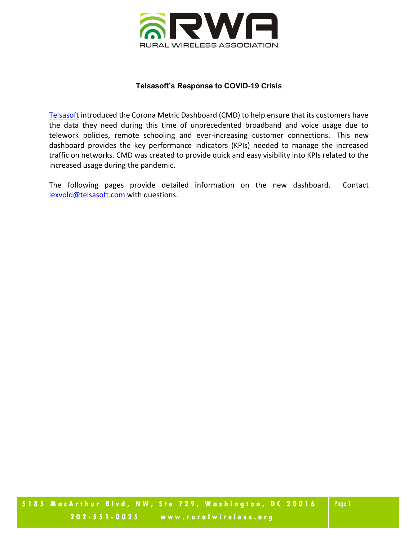

## **Telsasoft's Response to COVID-19 Crisis**

[Telsasoft](https://telsasoft.com/) introduced the Corona Metric Dashboard (CMD) to help ensure that its customers have the data they need during this time of unprecedented broadband and voice usage due to telework policies, remote schooling and ever-increasing customer connections. This new dashboard provides the key performance indicators (KPIs) needed to manage the increased traffic on networks. CMD was created to provide quick and easy visibility into KPIs related to the increased usage during the pandemic.

The following pages provide detailed information on the new dashboard. Contact [lexvold@telsasoft.com](mailto:lexvold@telsasoft.com) with questions.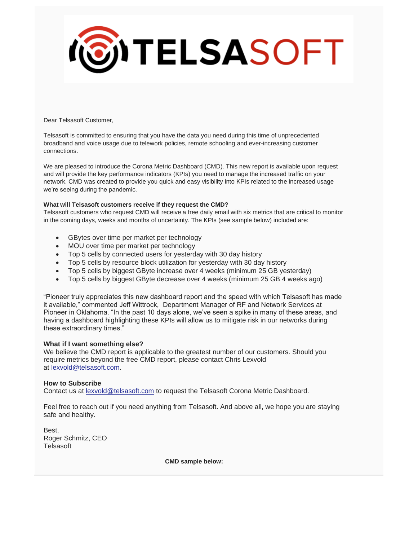

Dear Telsasoft Customer,

Telsasoft is committed to ensuring that you have the data you need during this time of unprecedented broadband and voice usage due to telework policies, remote schooling and ever-increasing customer connections.

We are pleased to introduce the Corona Metric Dashboard (CMD). This new report is available upon request and will provide the key performance indicators (KPIs) you need to manage the increased traffic on your network. CMD was created to provide you quick and easy visibility into KPIs related to the increased usage we're seeing during the pandemic.

## **What will Telsasoft customers receive if they request the CMD?**

Telsasoft customers who request CMD will receive a free daily email with six metrics that are critical to monitor in the coming days, weeks and months of uncertainty. The KPIs (see sample below) included are:

- GBytes over time per market per technology
- MOU over time per market per technology
- Top 5 cells by connected users for yesterday with 30 day history
- Top 5 cells by resource block utilization for yesterday with 30 day history
- Top 5 cells by biggest GByte increase over 4 weeks (minimum 25 GB yesterday)
- Top 5 cells by biggest GByte decrease over 4 weeks (minimum 25 GB 4 weeks ago)

"Pioneer truly appreciates this new dashboard report and the speed with which Telsasoft has made it available," commented Jeff Wittrock, Department Manager of RF and Network Services at Pioneer in Oklahoma. "In the past 10 days alone, we've seen a spike in many of these areas, and having a dashboard highlighting these KPIs will allow us to mitigate risk in our networks during these extraordinary times."

## **What if I want something else?**

We believe the CMD report is applicable to the greatest number of our customers. Should you require metrics beyond the free CMD report, please contact Chris Lexvold at [lexvold@telsasoft.com.](mailto:lexvold@telsasoft.com)

## **How to Subscribe**

Contact us at [lexvold@telsasoft.com](mailto:lexvold@telsasoft.com) to request the Telsasoft Corona Metric Dashboard.

Feel free to reach out if you need anything from Telsasoft. And above all, we hope you are staying safe and healthy.

Best, Roger Schmitz, CEO **Telsasoft** 

**CMD sample below:**